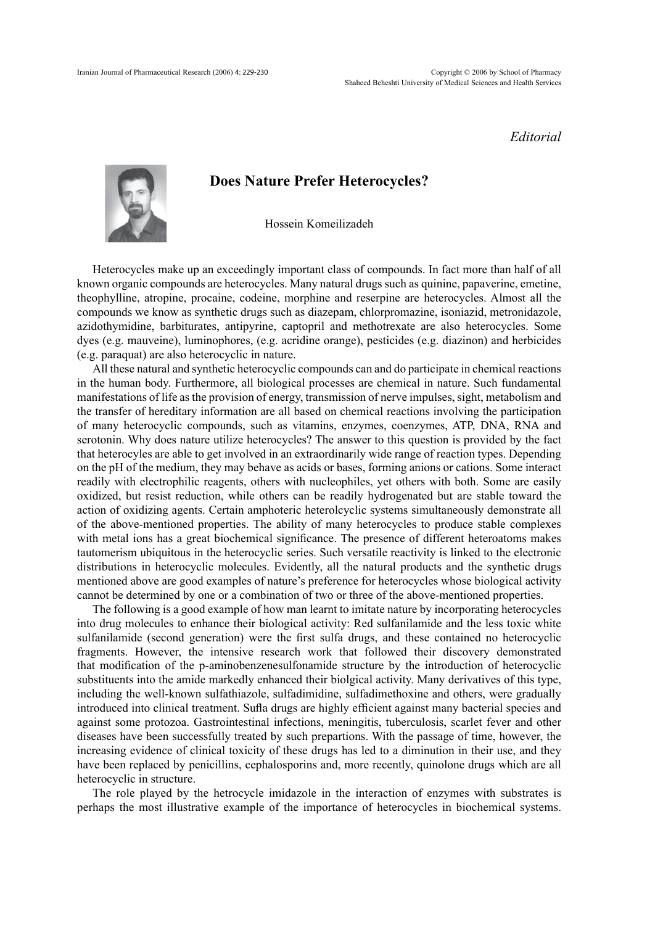*Editorial*



## **Does Nature Prefer Heterocycles?**

Hossein Komeilizadeh

Heterocycles make up an exceedingly important class of compounds. In fact more than half of all known organic compounds are heterocycles. Many natural drugs such as quinine, papaverine, emetine, theophylline, atropine, procaine, codeine, morphine and reserpine are heterocycles. Almost all the compounds we know as synthetic drugs such as diazepam, chlorpromazine, isoniazid, metronidazole, azidothymidine, barbiturates, antipyrine, captopril and methotrexate are also heterocycles. Some dyes (e.g. mauveine), luminophores, (e.g. acridine orange), pesticides (e.g. diazinon) and herbicides (e.g. paraquat) are also heterocyclic in nature.

All these natural and synthetic heterocyclic compounds can and do participate in chemical reactions in the human body. Furthermore, all biological processes are chemical in nature. Such fundamental manifestations of life as the provision of energy, transmission of nerve impulses, sight, metabolism and the transfer of hereditary information are all based on chemical reactions involving the participation of many heterocyclic compounds, such as vitamins, enzymes, coenzymes, ATP, DNA, RNA and serotonin. Why does nature utilize heterocycles? The answer to this question is provided by the fact that heterocyles are able to get involved in an extraordinarily wide range of reaction types. Depending on the pH of the medium, they may behave as acids or bases, forming anions or cations. Some interact readily with electrophilic reagents, others with nucleophiles, yet others with both. Some are easily oxidized, but resist reduction, while others can be readily hydrogenated but are stable toward the action of oxidizing agents. Certain amphoteric heterolcyclic systems simultaneously demonstrate all of the above-mentioned properties. The ability of many heterocycles to produce stable complexes with metal ions has a great biochemical significance. The presence of different heteroatoms makes tautomerism ubiquitous in the heterocyclic series. Such versatile reactivity is linked to the electronic distributions in heterocyclic molecules. Evidently, all the natural products and the synthetic drugs mentioned above are good examples of nature's preference for heterocycles whose biological activity cannot be determined by one or a combination of two or three of the above-mentioned properties.

The following is a good example of how man learnt to imitate nature by incorporating heterocycles into drug molecules to enhance their biological activity: Red sulfanilamide and the less toxic white sulfanilamide (second generation) were the first sulfa drugs, and these contained no heterocyclic fragments. However, the intensive research work that followed their discovery demonstrated that modification of the p-aminobenzenesulfonamide structure by the introduction of heterocyclic substituents into the amide markedly enhanced their biolgical activity. Many derivatives of this type, including the well-known sulfathiazole, sulfadimidine, sulfadimethoxine and others, were gradually introduced into clinical treatment. Sufla drugs are highly efficient against many bacterial species and against some protozoa. Gastrointestinal infections, meningitis, tuberculosis, scarlet fever and other diseases have been successfully treated by such prepartions. With the passage of time, however, the increasing evidence of clinical toxicity of these drugs has led to a diminution in their use, and they have been replaced by penicillins, cephalosporins and, more recently, quinolone drugs which are all heterocyclic in structure.

The role played by the hetrocycle imidazole in the interaction of enzymes with substrates is perhaps the most illustrative example of the importance of heterocycles in biochemical systems.